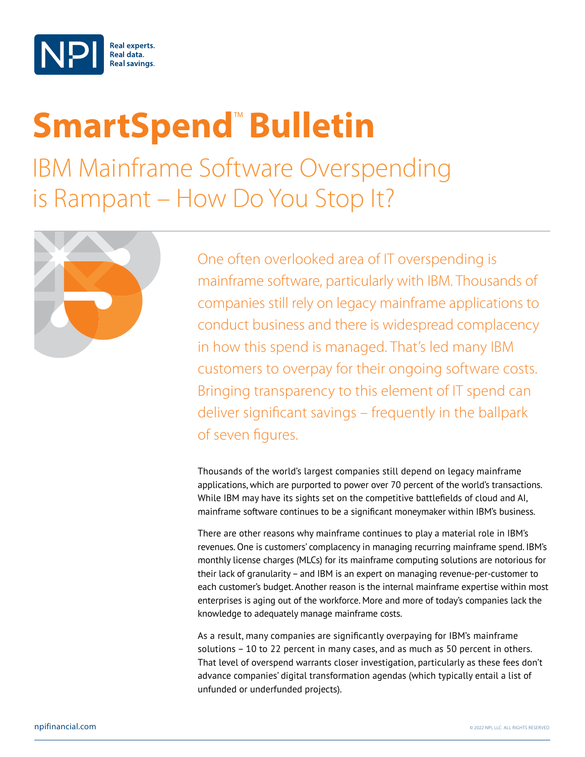

## **SmartSpend<sup>™</sup> Bulletin**

IBM Mainframe Software Overspending is Rampant – How Do You Stop It?



One often overlooked area of IT overspending is mainframe software, particularly with IBM. Thousands of companies still rely on legacy mainframe applications to conduct business and there is widespread complacency in how this spend is managed. That's led many IBM customers to overpay for their ongoing software costs. Bringing transparency to this element of IT spend can deliver significant savings – frequently in the ballpark of seven figures.

Thousands of the world's largest companies still depend on legacy mainframe applications, which are purported to power over 70 percent of the world's transactions. While IBM may have its sights set on the competitive battlefields of cloud and AI, mainframe software continues to be a significant moneymaker within IBM's business.

There are other reasons why mainframe continues to play a material role in IBM's revenues. One is customers' complacency in managing recurring mainframe spend. IBM's monthly license charges (MLCs) for its mainframe computing solutions are notorious for their lack of granularity – and IBM is an expert on managing revenue-per-customer to each customer's budget. Another reason is the internal mainframe expertise within most enterprises is aging out of the workforce. More and more of today's companies lack the knowledge to adequately manage mainframe costs.

As a result, many companies are significantly overpaying for IBM's mainframe solutions – 10 to 22 percent in many cases, and as much as 50 percent in others. That level of overspend warrants closer investigation, particularly as these fees don't advance companies' digital transformation agendas (which typically entail a list of unfunded or underfunded projects).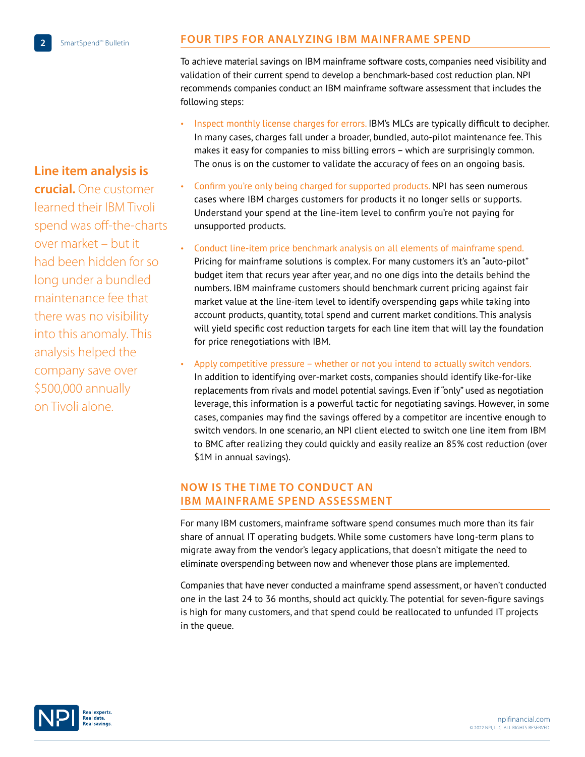**Line item analysis is** 

## **FOUR TIPS FOR ANALYZING IBM MAINFRAME SPEND**

To achieve material savings on IBM mainframe software costs, companies need visibility and validation of their current spend to develop a benchmark-based cost reduction plan. NPI recommends companies conduct an IBM mainframe software assessment that includes the following steps:

- Inspect monthly license charges for errors. IBM's MLCs are typically difficult to decipher. In many cases, charges fall under a broader, bundled, auto-pilot maintenance fee. This makes it easy for companies to miss billing errors – which are surprisingly common. The onus is on the customer to validate the accuracy of fees on an ongoing basis.
- Confirm you're only being charged for supported products. NPI has seen numerous cases where IBM charges customers for products it no longer sells or supports. Understand your spend at the line-item level to confirm you're not paying for unsupported products.
- Conduct line-item price benchmark analysis on all elements of mainframe spend. Pricing for mainframe solutions is complex. For many customers it's an "auto-pilot" budget item that recurs year after year, and no one digs into the details behind the numbers. IBM mainframe customers should benchmark current pricing against fair market value at the line-item level to identify overspending gaps while taking into account products, quantity, total spend and current market conditions. This analysis will yield specific cost reduction targets for each line item that will lay the foundation for price renegotiations with IBM.
- Apply competitive pressure whether or not you intend to actually switch vendors. In addition to identifying over-market costs, companies should identify like-for-like replacements from rivals and model potential savings. Even if "only" used as negotiation leverage, this information is a powerful tactic for negotiating savings. However, in some cases, companies may find the savings offered by a competitor are incentive enough to switch vendors. In one scenario, an NPI client elected to switch one line item from IBM to BMC after realizing they could quickly and easily realize an 85% cost reduction (over \$1M in annual savings).

## **NOW IS THE TIME TO CONDUCT AN IBM MAINFRAME SPEND ASSESSMENT**

For many IBM customers, mainframe software spend consumes much more than its fair share of annual IT operating budgets. While some customers have long-term plans to migrate away from the vendor's legacy applications, that doesn't mitigate the need to eliminate overspending between now and whenever those plans are implemented.

Companies that have never conducted a mainframe spend assessment, or haven't conducted one in the last 24 to 36 months, should act quickly. The potential for seven-figure savings is high for many customers, and that spend could be reallocated to unfunded IT projects in the queue.



**crucial.** One customer learned their IBM Tivoli spend was off-the-charts over market – but it had been hidden for so long under a bundled maintenance fee that there was no visibility into this anomaly. This analysis helped the company save over \$500,000 annually on Tivoli alone.